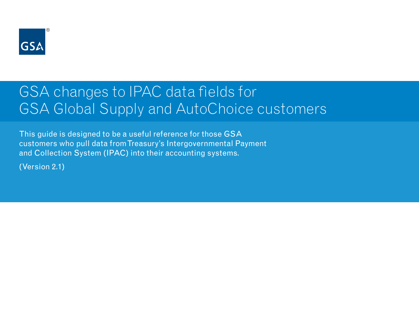

# GSA changes to IPAC data fields for GSA Global Supply and AutoChoice customers

This guide is designed to be a useful reference for those GSA customers who pull data from Treasury's Intergovernmental Payment and Collection System (IPAC) into their accounting systems.

(Version 2.1)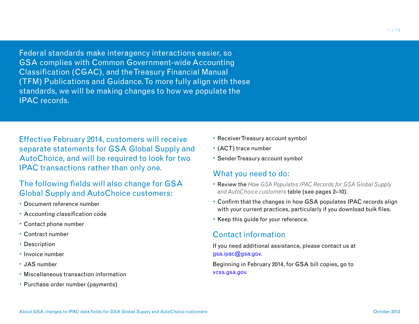Federal standards make interagency interactions easier, so GSA complies with Common Government-wide Accounting Classification (CGAC), and the Treasury Financial Manual (TFM) Publications and Guidance. To more fully align with these standards, we will be making changes to how we populate the IPAC records.

Effective February 2014, customers will receive separate statements for GSA Global Supply and AutoChoice, and will be required to look for two IPAC transactions rather than only one.

#### The following fields will also change for GSA Global Supply and AutoChoice customers:

- • Document reference number
- • Accounting classification code
- • Contact phone number
- • Contract number
- Description
- Invoice number
- • JAS number
- • Miscellaneous transaction information
- Purchase order number (payments)
- Receiver Treasury account symbol
- • (ACT) trace number
- Sender Treasury account symbol

#### What you need to do:

- • Review the *How GSA Populates IPAC Records for GSA Global Supply and AutoChoice customers* table (see pages 2–10).
- Confirm that the changes in how GSA populates IPAC records align with your current practices, particularly if you download bulk files.
- Keep this guide for your reference.

#### Contact information

If you need additional assistance, please contact us at gsa.ipac@gsa.gov.

Beginning in February 2014, for GSA bill copies, go to [vcss.gsa.gov.](http://vcss.gsa.gov)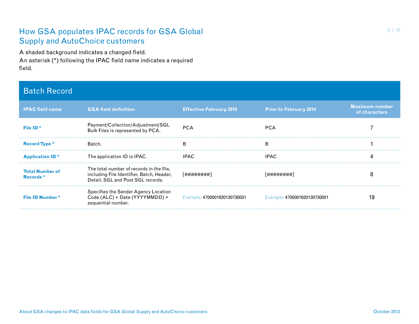A shaded background indicates a changed field. An asterisk (\*) following the IPAC field name indicates a required field.

#### Batch Record

| <b>IPAC field name</b>             | <b>GSA field definition</b>                                                                                                | <b>Effective February 2014</b>      | <b>Prior to February 2014</b> | <b>Maximum number</b><br>of characters |
|------------------------------------|----------------------------------------------------------------------------------------------------------------------------|-------------------------------------|-------------------------------|----------------------------------------|
| File ID <sup>*</sup>               | Payment/Collection/Adjustment/SGL<br>Bulk Files is represented by PCA.                                                     | <b>PCA</b>                          | <b>PCA</b>                    |                                        |
| <b>Record Type *</b>               | Batch.                                                                                                                     | в                                   | B                             |                                        |
| <b>Application ID*</b>             | The application ID is IPAC.                                                                                                | <b>IPAC</b>                         | <b>IPAC</b>                   |                                        |
| <b>Total Number of</b><br>Records* | The total number of records in the file,<br>including File Identifier, Batch, Header,<br>Detail, SGL and Post SGL records. | [########]                          | [########]                    |                                        |
| <b>File ID Number*</b>             | Specifies the Sender Agency Location<br>Code (ALC) + Date (YYYYMMDD) +<br>sequential number.                               | Example: <b>4700001620130730001</b> | Example: 4700001620130730001  | 19                                     |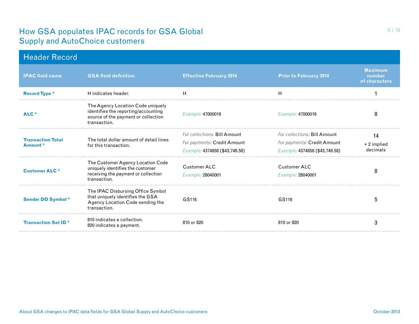| <b>Header Record</b>                |                                                                                                                                 |                                                                                               |                                                                                               |                                           |
|-------------------------------------|---------------------------------------------------------------------------------------------------------------------------------|-----------------------------------------------------------------------------------------------|-----------------------------------------------------------------------------------------------|-------------------------------------------|
| <b>IPAC field name</b>              | <b>GSA field definition</b>                                                                                                     | <b>Effective February 2014</b>                                                                | <b>Prior to February 2014</b>                                                                 | <b>Maximum</b><br>number<br>of characters |
| <b>Record Type *</b>                | H indicates header.                                                                                                             | H                                                                                             | н                                                                                             |                                           |
| ALC*                                | The Agency Location Code uniquely<br>identifies the reporting/accounting<br>source of the payment or collection<br>transaction. | Example: 47000016                                                                             | Example: 47000016                                                                             | 8                                         |
| <b>Transaction Total</b><br>Amount* | The total dollar amount of detail lines<br>for this transaction.                                                                | For collections: Bill Amount<br>For payments: Credit Amount<br>Example: 4374858 (\$43,748.58) | For collections: Bill Amount<br>For payments: Credit Amount<br>Example: 4374858 (\$43,748.58) | 14<br>$+2$ implied<br>decimals            |
| <b>Customer ALC*</b>                | The Customer Agency Location Code<br>uniquely identifies the customer<br>receiving the payment or collection<br>transaction.    | <b>Customer ALC</b><br>Example: 28040001                                                      | <b>Customer ALC</b><br>Example: 28040001                                                      | 8                                         |
| <b>Sender DO Symbol *</b>           | The IPAC Disbursing Office Symbol<br>that uniquely identifies the GSA<br>Agency Location Code sending the<br>transaction.       | GS116                                                                                         | GS116                                                                                         | 5                                         |
| <b>Transaction Set ID*</b>          | 810 indicates a collection.<br>820 indicates a payment.                                                                         | 810 or 820                                                                                    | 810 or 820                                                                                    | 3                                         |

3 / 10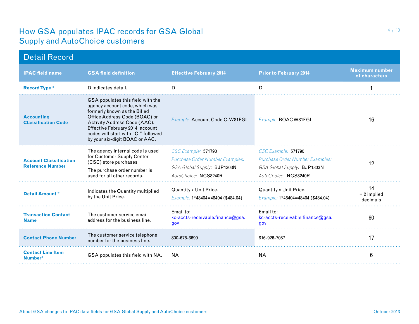| <b>Detail Record</b>                                     |                                                                                                                                                                                                                                                                                   |                                                                                                               |                                                                                                                      |                                        |
|----------------------------------------------------------|-----------------------------------------------------------------------------------------------------------------------------------------------------------------------------------------------------------------------------------------------------------------------------------|---------------------------------------------------------------------------------------------------------------|----------------------------------------------------------------------------------------------------------------------|----------------------------------------|
| <b>IPAC field name</b>                                   | <b>GSA field definition</b>                                                                                                                                                                                                                                                       | <b>Effective February 2014</b>                                                                                | <b>Prior to February 2014</b>                                                                                        | <b>Maximum number</b><br>of characters |
| <b>Record Type *</b>                                     | D indicates detail.                                                                                                                                                                                                                                                               | D                                                                                                             | D                                                                                                                    |                                        |
| <b>Accounting</b><br><b>Classification Code</b>          | GSA populates this field with the<br>agency account code, which was<br>formerly known as the Billed<br>Office Address Code (BOAC) or<br>Activity Address Code (AAC).<br>Effective February 2014, account<br>codes will start with "C-" followed<br>by your six-digit BOAC or AAC. | Example: Account Code C-W81FGL                                                                                | Example: <b>BOAC W81FGL</b>                                                                                          | 16                                     |
| <b>Account Classification</b><br><b>Reference Number</b> | The agency internal code is used<br>for Customer Supply Center<br>(CSC) store purchases.<br>The purchase order number is<br>used for all other records.                                                                                                                           | CSC Example: 571790<br>Purchase Order Number Examples:<br>GSA Global Supply: BJP1303N<br>AutoChoice: NGS8240R | CSC Example: 571790<br><b>Purchase Order Number Examples:</b><br>GSA Global Supply: BJP1303N<br>AutoChoice: NGS8240R | 12                                     |
| <b>Detail Amount*</b>                                    | Indicates the Quantity multiplied<br>by the Unit Price.                                                                                                                                                                                                                           | Quantity x Unit Price.<br>Example: 1*48404=48404 (\$484.04)                                                   | Quantity x Unit Price.<br>Example: 1*48404=48404 (\$484.04)                                                          | 14<br>+2 implied<br>decimals           |
| <b>Transaction Contact</b><br><b>Name</b>                | The customer service email<br>address for the business line.                                                                                                                                                                                                                      | Email to:<br>kc-accts-receivable.finance@gsa.<br>gov                                                          | Email to:<br>kc-accts-receivable.finance@gsa.<br>gov                                                                 | 60                                     |
| <b>Contact Phone Number</b>                              | The customer service telephone<br>number for the business line.                                                                                                                                                                                                                   | 800-676-3690                                                                                                  | 816-926-7037                                                                                                         | 17                                     |
| <b>Contact Line Item</b><br>Number*                      | GSA populates this field with NA.                                                                                                                                                                                                                                                 | <b>NA</b>                                                                                                     | <b>NA</b>                                                                                                            | 6                                      |
|                                                          |                                                                                                                                                                                                                                                                                   |                                                                                                               |                                                                                                                      |                                        |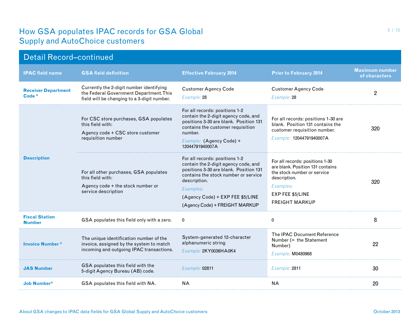| <b>Detail Record-continued</b>         |                                                                                                                                    |                                                                                                                                                                                                                                                             |                                                                                                                                                                              |                                        |  |
|----------------------------------------|------------------------------------------------------------------------------------------------------------------------------------|-------------------------------------------------------------------------------------------------------------------------------------------------------------------------------------------------------------------------------------------------------------|------------------------------------------------------------------------------------------------------------------------------------------------------------------------------|----------------------------------------|--|
| <b>IPAC field name</b>                 | <b>GSA field definition</b>                                                                                                        | <b>Effective February 2014</b>                                                                                                                                                                                                                              | <b>Prior to February 2014</b>                                                                                                                                                | <b>Maximum number</b><br>of characters |  |
| <b>Receiver Department</b><br>Code *   | Currently the 2-digit number identifying<br>the Federal Government Department. This<br>field will be changing to a 3-digit number. | <b>Customer Agency Code</b><br>Example: 28                                                                                                                                                                                                                  | <b>Customer Agency Code</b><br>Example: 28                                                                                                                                   | $\overline{2}$                         |  |
| <b>Description</b>                     | For CSC store purchases, GSA populates<br>this field with:<br>Agency code + CSC store customer<br>requisition number               | For all records: positions 1-2<br>contain the 2-digit agency code, and<br>positions 3-30 are blank. Position 131<br>contains the customer requisition<br>number.<br>Example: (Agency Code) +<br>12044791940007A                                             | For all records: positions 1-30 are<br>blank. Position 131 contains the<br>customer requisition number.<br>Example: 12044791940007A                                          | 320                                    |  |
|                                        | For all other purchases, GSA populates<br>this field with:<br>Agency code + the stock number or<br>service description             | For all records: positions 1-2<br>contain the 2-digit agency code, and<br>positions 3-30 are blank. Position 131<br>contains the stock number or service<br>description.<br>Examples:<br>(Agency Code) + EXP FEE \$5/LINE<br>(Agency Code) + FREIGHT MARKUP | For all records: positions 1-30<br>are blank. Position 131 contains<br>the stock number or service<br>description.<br>Examples:<br>EXP FEE \$5/LINE<br><b>FREIGHT MARKUP</b> | 320                                    |  |
| <b>Fiscal Station</b><br><b>Number</b> | GSA populates this field only with a zero.                                                                                         | $\mathbf{0}$                                                                                                                                                                                                                                                | $\Omega$                                                                                                                                                                     | 8                                      |  |
| <b>Invoice Number*</b>                 | The unique identification number of the<br>invoice, assigned by the system to match<br>incoming and outgoing IPAC transactions.    | System-generated 12-character<br>alphanumeric string<br>Example: 2KY0036HA0K4                                                                                                                                                                               | The IPAC Document Reference<br>Number $(=$ the Statement<br>Number)<br>Example: M0480968                                                                                     | 22                                     |  |
| <b>JAS Number</b>                      | GSA populates this field with the<br>5-digit Agency Bureau (AB) code.                                                              | Example: 02811                                                                                                                                                                                                                                              | Example: 2811                                                                                                                                                                | 30                                     |  |
| <b>Job Number*</b>                     | GSA populates this field with NA.                                                                                                  | NА                                                                                                                                                                                                                                                          | <b>NA</b>                                                                                                                                                                    | 20                                     |  |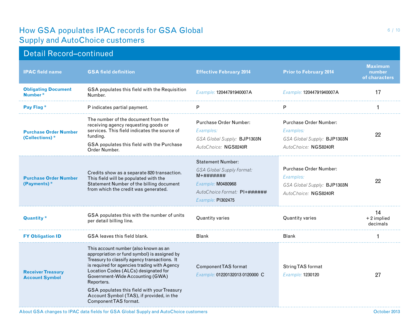## Detail Record–continued

| <b>IPAC field name</b>                            | <b>GSA field definition</b>                                                                                                                                                                                                                                                                                                                                                                          | <b>Effective February 2014</b>                                                                                                                        | <b>Prior to February 2014</b>                                                                     | <b>Maximum</b><br>number<br>of characters |
|---------------------------------------------------|------------------------------------------------------------------------------------------------------------------------------------------------------------------------------------------------------------------------------------------------------------------------------------------------------------------------------------------------------------------------------------------------------|-------------------------------------------------------------------------------------------------------------------------------------------------------|---------------------------------------------------------------------------------------------------|-------------------------------------------|
| <b>Obligating Document</b><br>Number*             | GSA populates this field with the Requisition<br>Number.                                                                                                                                                                                                                                                                                                                                             | Example: 12044791940007A                                                                                                                              | Example: 12044791940007A                                                                          | 17                                        |
| Pay Flag <sup>*</sup>                             | P indicates partial payment.                                                                                                                                                                                                                                                                                                                                                                         | P                                                                                                                                                     | P                                                                                                 |                                           |
| <b>Purchase Order Number</b><br>(Collections)*    | The number of the document from the<br>receiving agency requesting goods or<br>services. This field indicates the source of<br>funding.<br>GSA populates this field with the Purchase<br>Order Number.                                                                                                                                                                                               | <b>Purchase Order Number:</b><br>Examples:<br>GSA Global Supply: BJP1303N<br>AutoChoice: NGS8240R                                                     | <b>Purchase Order Number:</b><br>Examples:<br>GSA Global Supply: BJP1303N<br>AutoChoice: NGS8240R | 22                                        |
| <b>Purchase Order Number</b><br>(Payments)*       | Credits show as a separate 820 transaction.<br>This field will be populated with the<br>Statement Number of the billing document<br>from which the credit was generated.                                                                                                                                                                                                                             | <b>Statement Number:</b><br><b>GSA Global Supply Format:</b><br>$M+#######$<br>Example: M0480968<br>AutoChoice Format: PI+######<br>Example: PI302475 | Purchase Order Number:<br>Examples:<br>GSA Global Supply: BJP1303N<br>AutoChoice: NGS8240R        | 22                                        |
| <b>Quantity*</b>                                  | GSA populates this with the number of units<br>per detail billing line.                                                                                                                                                                                                                                                                                                                              | Quantity varies                                                                                                                                       | Quantity varies                                                                                   | 14<br>+2 implied<br>decimals              |
| <b>FY Obligation ID</b>                           | GSA leaves this field blank.                                                                                                                                                                                                                                                                                                                                                                         | <b>Blank</b>                                                                                                                                          | <b>Blank</b>                                                                                      |                                           |
| <b>Receiver Treasury</b><br><b>Account Symbol</b> | This account number (also known as an<br>appropriation or fund symbol) is assigned by<br>Treasury to classify agency transactions. It<br>is required for agencies trading with Agency<br>Location Codes (ALCs) designated for<br>Government-Wide Accounting (GWA)<br>Reporters.<br>GSA populates this field with your Treasury<br>Account Symbol (TAS), if provided, in the<br>Component TAS format. | <b>ComponentTAS</b> format<br>Example: 01220132013 0120000 C                                                                                          | <b>String TAS format</b><br>Example: 1230120                                                      | 27                                        |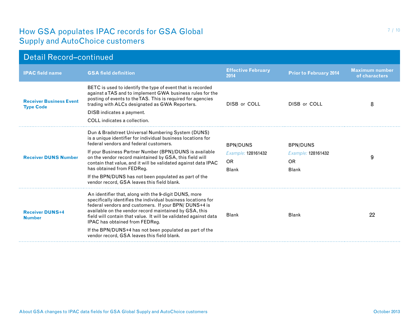| <b>Detail Record-continued</b>                     |                                                                                                                                                                                                                                                                                                                                                                                                                                                                                           |                                                                    |                                                                    |                                        |  |
|----------------------------------------------------|-------------------------------------------------------------------------------------------------------------------------------------------------------------------------------------------------------------------------------------------------------------------------------------------------------------------------------------------------------------------------------------------------------------------------------------------------------------------------------------------|--------------------------------------------------------------------|--------------------------------------------------------------------|----------------------------------------|--|
| <b>IPAC field name</b>                             | <b>GSA field definition</b>                                                                                                                                                                                                                                                                                                                                                                                                                                                               | <b>Effective February</b><br>2014                                  | <b>Prior to February 2014</b>                                      | <b>Maximum number</b><br>of characters |  |
| <b>Receiver Business Event</b><br><b>Type Code</b> | BETC is used to identify the type of event that is recorded<br>against a TAS and to implement GWA business rules for the<br>posting of events to the TAS. This is required for agencies<br>trading with ALCs designated as GWA Reporters.<br>DISB indicates a payment.<br>COLL indicates a collection.                                                                                                                                                                                    | DISB or COLL                                                       | DISB or COLL                                                       | 8                                      |  |
| <b>Receiver DUNS Number</b>                        | Dun & Bradstreet Universal Numbering System (DUNS)<br>is a unique identifier for individual business locations for<br>federal vendors and federal customers.<br>If your Business Partner Number (BPN)/DUNS is available<br>on the vendor record maintained by GSA, this field will<br>contain that value, and it will be validated against data IPAC<br>has obtained from FEDReg.<br>If the BPN/DUNS has not been populated as part of the<br>vendor record, GSA leaves this field blank. | <b>BPN/DUNS</b><br>Example: 128161432<br><b>OR</b><br><b>Blank</b> | <b>BPN/DUNS</b><br>Example: 128161432<br><b>OR</b><br><b>Blank</b> | 9                                      |  |
| <b>Receiver DUNS+4</b><br><b>Number</b>            | An identifier that, along with the 9-digit DUNS, more<br>specifically identifies the individual business locations for<br>federal vendors and customers. If your BPN/DUNS+4 is<br>available on the vendor record maintained by GSA, this<br>field will contain that value. It will be validated against data<br>IPAC has obtained from FEDReg.<br>If the BPN/DUNS+4 has not been populated as part of the<br>vendor record. GSA leaves this field blank.                                  | <b>Blank</b>                                                       | <b>Blank</b>                                                       | 22                                     |  |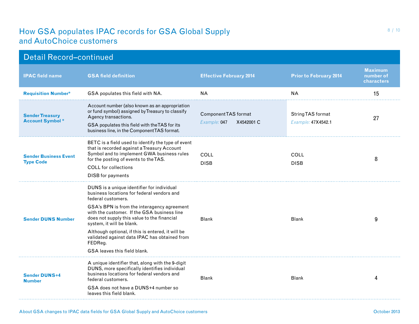| <b>Detail Record-continued</b>                   |                                                                                                                                                                                                                                                                                                                                                                                                                                           |                                                    |                                                |                                           |  |
|--------------------------------------------------|-------------------------------------------------------------------------------------------------------------------------------------------------------------------------------------------------------------------------------------------------------------------------------------------------------------------------------------------------------------------------------------------------------------------------------------------|----------------------------------------------------|------------------------------------------------|-------------------------------------------|--|
| <b>IPAC field name</b>                           | <b>GSA field definition</b>                                                                                                                                                                                                                                                                                                                                                                                                               | <b>Effective February 2014</b>                     | <b>Prior to February 2014</b>                  | <b>Maximum</b><br>number of<br>characters |  |
| <b>Requisition Number*</b>                       | GSA populates this field with NA.                                                                                                                                                                                                                                                                                                                                                                                                         | <b>NA</b>                                          | <b>NA</b>                                      | 15                                        |  |
| <b>Sender Treasury</b><br><b>Account Symbol*</b> | Account number (also known as an appropriation<br>or fund symbol) assigned by Treasury to classify<br>Agency transactions.<br>GSA populates this field with the TAS for its<br>business line, in the Component TAS format.                                                                                                                                                                                                                | Component TAS format<br>Example: 047<br>X4542001 C | <b>String TAS format</b><br>Example: 47X4542.1 | 27                                        |  |
| <b>Sender Business Event</b><br><b>Type Code</b> | BETC is a field used to identify the type of event<br>that is recorded against a Treasury Account<br>Symbol and to implement GWA business rules<br>for the posting of events to the TAS.<br><b>COLL</b> for collections<br><b>DISB</b> for payments                                                                                                                                                                                       | COLL<br><b>DISB</b>                                | COLL<br><b>DISB</b>                            | 8                                         |  |
| <b>Sender DUNS Number</b>                        | DUNS is a unique identifier for individual<br>business locations for federal vendors and<br>federal customers.<br>GSA's BPN is from the interagency agreement<br>with the customer. If the GSA business line<br>does not supply this value to the financial<br>system, it will be blank.<br>Although optional, if this is entered, it will be<br>validated against data IPAC has obtained from<br>FEDReg.<br>GSA leaves this field blank. | <b>Blank</b>                                       | <b>Blank</b>                                   | 9                                         |  |
| <b>Sender DUNS+4</b><br><b>Number</b>            | A unique identifier that, along with the 9-digit<br>DUNS, more specifically identifies individual<br>business locations for federal vendors and<br>federal customers.<br>GSA does not have a DUNS+4 number so<br>leaves this field blank.                                                                                                                                                                                                 | <b>Blank</b>                                       | <b>Blank</b>                                   | 4                                         |  |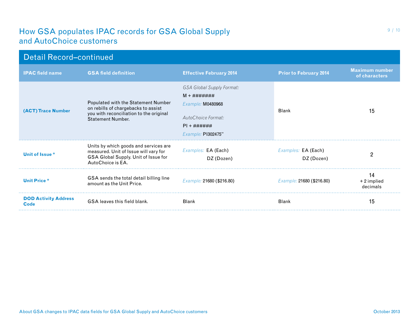| <b>Detail Record-continued</b>      |                                                                                                                                                   |                                                                                                                                                |                                   |                                        |  |
|-------------------------------------|---------------------------------------------------------------------------------------------------------------------------------------------------|------------------------------------------------------------------------------------------------------------------------------------------------|-----------------------------------|----------------------------------------|--|
| <b>IPAC field name</b>              | <b>GSA field definition</b>                                                                                                                       | <b>Effective February 2014</b>                                                                                                                 | <b>Prior to February 2014</b>     | <b>Maximum number</b><br>of characters |  |
| (ACT) Trace Number                  | Populated with the Statement Number<br>on rebills of chargebacks to assist<br>you with reconciliation to the original<br><b>Statement Number.</b> | <b>GSA Global Supply Format:</b><br>$M + # # # # # # #$<br>Example: M0480968<br>AutoChoice Format:<br>$PI + # # # # # #$<br>Example: P1302475" | <b>Blank</b>                      | 15                                     |  |
| Unit of Issue *                     | Units by which goods and services are<br>measured. Unit of Issue will vary for<br>GSA Global Supply. Unit of Issue for<br>AutoChoice is EA.       | Examples: EA (Each)<br>DZ (Dozen)                                                                                                              | Examples: EA (Each)<br>DZ (Dozen) | 2                                      |  |
| <b>Unit Price *</b>                 | GSA sends the total detail billing line<br>amount as the Unit Price.                                                                              | Example: 21680 (\$216.80)                                                                                                                      | Example: 21680 (\$216.80)         | 14<br>+2 implied<br>decimals           |  |
| <b>DOD Activity Address</b><br>Code | GSA leaves this field blank.                                                                                                                      | <b>Blank</b>                                                                                                                                   | <b>Blank</b>                      | 15                                     |  |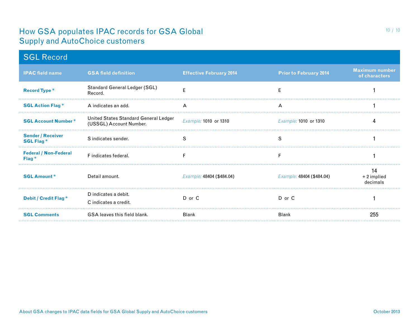| <b>SGL Record</b>                                 |                                                                  |                                |                               |                                        |
|---------------------------------------------------|------------------------------------------------------------------|--------------------------------|-------------------------------|----------------------------------------|
| <b>IPAC field name</b>                            | <b>GSA field definition</b>                                      | <b>Effective February 2014</b> | <b>Prior to February 2014</b> | <b>Maximum number</b><br>of characters |
| <b>Record Type *</b>                              | Standard General Ledger (SGL)<br>Record.                         | E                              | E                             |                                        |
| <b>SGL Action Flag *</b>                          | A indicates an add.                                              | A                              | A                             |                                        |
| <b>SGL Account Number*</b>                        | United States Standard General Ledger<br>(USSGL) Account Number. | Example: 1010 or 1310          | Example: 1010 or 1310         | 4                                      |
| <b>Sender / Receiver</b><br><b>SGL Flag *</b>     | S indicates sender.                                              | S                              | S                             |                                        |
| <b>Federal / Non-Federal</b><br>Flag <sup>*</sup> | F indicates federal.                                             | F                              | F                             |                                        |
| <b>SGL Amount*</b>                                | Detail amount.                                                   | Example: 48404 (\$484.04)      | Example: 48404 (\$484.04)     | 14<br>$+2$ implied<br>decimals         |
| Debit / Credit Flag *                             | D indicates a debit.<br>C indicates a credit.                    | D or C                         | D or C                        |                                        |
| <b>SGL Comments</b>                               | <b>GSA leaves this field blank.</b>                              | <b>Blank</b>                   | <b>Blank</b>                  | 255                                    |